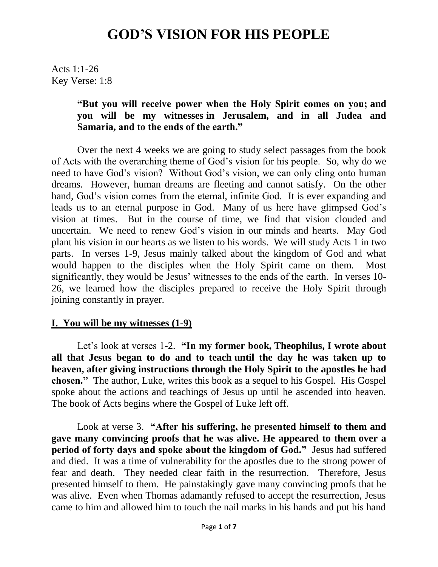Acts 1:1-26 Key Verse: 1:8

#### **"But you will receive power when the Holy Spirit comes on you; and you will be my witnesses in Jerusalem, and in all Judea and Samaria, and to the ends of the earth."**

Over the next 4 weeks we are going to study select passages from the book of Acts with the overarching theme of God's vision for his people. So, why do we need to have God's vision? Without God's vision, we can only cling onto human dreams. However, human dreams are fleeting and cannot satisfy. On the other hand, God's vision comes from the eternal, infinite God. It is ever expanding and leads us to an eternal purpose in God. Many of us here have glimpsed God's vision at times. But in the course of time, we find that vision clouded and uncertain. We need to renew God's vision in our minds and hearts. May God plant his vision in our hearts as we listen to his words. We will study Acts 1 in two parts. In verses 1-9, Jesus mainly talked about the kingdom of God and what would happen to the disciples when the Holy Spirit came on them. Most significantly, they would be Jesus' witnesses to the ends of the earth. In verses 10- 26, we learned how the disciples prepared to receive the Holy Spirit through joining constantly in prayer.

#### **I. You will be my witnesses (1-9)**

Let's look at verses 1-2. **"In my former book, Theophilus, I wrote about all that Jesus began to do and to teach until the day he was taken up to heaven, after giving instructions through the Holy Spirit to the apostles he had chosen."** The author, Luke, writes this book as a sequel to his Gospel. His Gospel spoke about the actions and teachings of Jesus up until he ascended into heaven. The book of Acts begins where the Gospel of Luke left off.

Look at verse 3. **"After his suffering, he presented himself to them and gave many convincing proofs that he was alive. He appeared to them over a period of forty days and spoke about the kingdom of God."** Jesus had suffered and died. It was a time of vulnerability for the apostles due to the strong power of fear and death. They needed clear faith in the resurrection. Therefore, Jesus presented himself to them. He painstakingly gave many convincing proofs that he was alive. Even when Thomas adamantly refused to accept the resurrection, Jesus came to him and allowed him to touch the nail marks in his hands and put his hand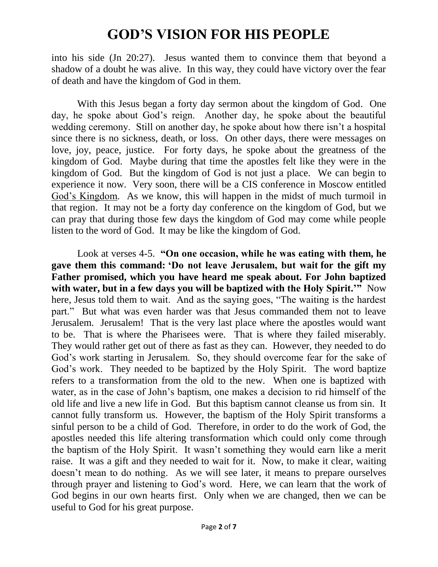into his side (Jn 20:27). Jesus wanted them to convince them that beyond a shadow of a doubt he was alive. In this way, they could have victory over the fear of death and have the kingdom of God in them.

With this Jesus began a forty day sermon about the kingdom of God. One day, he spoke about God's reign. Another day, he spoke about the beautiful wedding ceremony. Still on another day, he spoke about how there isn't a hospital since there is no sickness, death, or loss. On other days, there were messages on love, joy, peace, justice. For forty days, he spoke about the greatness of the kingdom of God. Maybe during that time the apostles felt like they were in the kingdom of God. But the kingdom of God is not just a place. We can begin to experience it now. Very soon, there will be a CIS conference in Moscow entitled God's Kingdom. As we know, this will happen in the midst of much turmoil in that region. It may not be a forty day conference on the kingdom of God, but we can pray that during those few days the kingdom of God may come while people listen to the word of God. It may be like the kingdom of God.

Look at verses 4-5. **"On one occasion, while he was eating with them, he gave them this command: "Do not leave Jerusalem, but wait for the gift my Father promised, which you have heard me speak about. For John baptized with water, but in a few days you will be baptized with the Holy Spirit.""** Now here, Jesus told them to wait. And as the saying goes, "The waiting is the hardest part." But what was even harder was that Jesus commanded them not to leave Jerusalem. Jerusalem! That is the very last place where the apostles would want to be. That is where the Pharisees were. That is where they failed miserably. They would rather get out of there as fast as they can. However, they needed to do God's work starting in Jerusalem. So, they should overcome fear for the sake of God's work. They needed to be baptized by the Holy Spirit. The word baptize refers to a transformation from the old to the new. When one is baptized with water, as in the case of John's baptism, one makes a decision to rid himself of the old life and live a new life in God. But this baptism cannot cleanse us from sin. It cannot fully transform us. However, the baptism of the Holy Spirit transforms a sinful person to be a child of God. Therefore, in order to do the work of God, the apostles needed this life altering transformation which could only come through the baptism of the Holy Spirit. It wasn't something they would earn like a merit raise. It was a gift and they needed to wait for it. Now, to make it clear, waiting doesn't mean to do nothing. As we will see later, it means to prepare ourselves through prayer and listening to God's word. Here, we can learn that the work of God begins in our own hearts first. Only when we are changed, then we can be useful to God for his great purpose.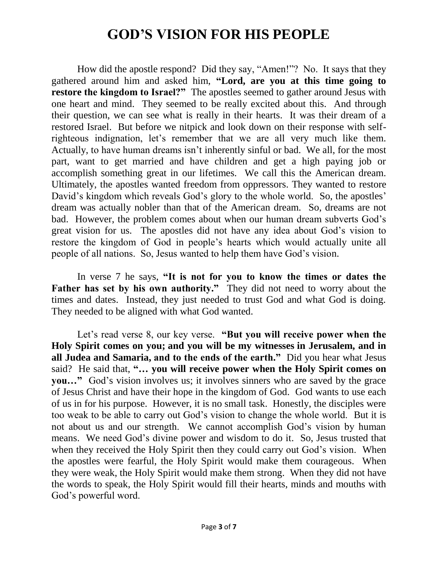How did the apostle respond? Did they say, "Amen!"? No. It says that they gathered around him and asked him, **"Lord, are you at this time going to restore the kingdom to Israel?"** The apostles seemed to gather around Jesus with one heart and mind. They seemed to be really excited about this. And through their question, we can see what is really in their hearts. It was their dream of a restored Israel. But before we nitpick and look down on their response with selfrighteous indignation, let's remember that we are all very much like them. Actually, to have human dreams isn't inherently sinful or bad. We all, for the most part, want to get married and have children and get a high paying job or accomplish something great in our lifetimes. We call this the American dream. Ultimately, the apostles wanted freedom from oppressors. They wanted to restore David's kingdom which reveals God's glory to the whole world. So, the apostles' dream was actually nobler than that of the American dream. So, dreams are not bad. However, the problem comes about when our human dream subverts God's great vision for us. The apostles did not have any idea about God's vision to restore the kingdom of God in people's hearts which would actually unite all people of all nations. So, Jesus wanted to help them have God's vision.

In verse 7 he says, **"It is not for you to know the times or dates the Father has set by his own authority."** They did not need to worry about the times and dates. Instead, they just needed to trust God and what God is doing. They needed to be aligned with what God wanted.

Let's read verse 8, our key verse. **"But you will receive power when the Holy Spirit comes on you; and you will be my witnesses in Jerusalem, and in all Judea and Samaria, and to the ends of the earth."** Did you hear what Jesus said? He said that, **"… you will receive power when the Holy Spirit comes on you…"** God's vision involves us; it involves sinners who are saved by the grace of Jesus Christ and have their hope in the kingdom of God. God wants to use each of us in for his purpose. However, it is no small task. Honestly, the disciples were too weak to be able to carry out God's vision to change the whole world. But it is not about us and our strength. We cannot accomplish God's vision by human means. We need God's divine power and wisdom to do it. So, Jesus trusted that when they received the Holy Spirit then they could carry out God's vision. When the apostles were fearful, the Holy Spirit would make them courageous. When they were weak, the Holy Spirit would make them strong. When they did not have the words to speak, the Holy Spirit would fill their hearts, minds and mouths with God's powerful word.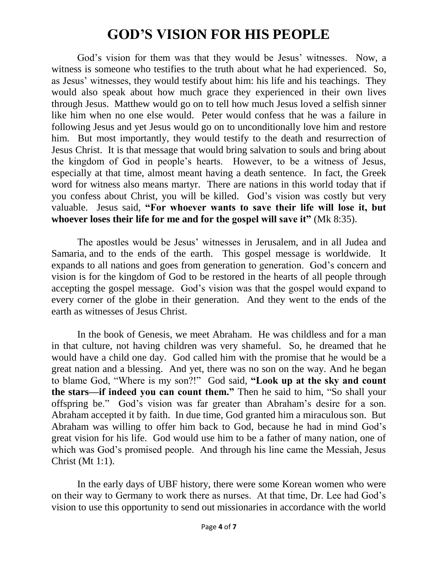God's vision for them was that they would be Jesus' witnesses. Now, a witness is someone who testifies to the truth about what he had experienced. So, as Jesus' witnesses, they would testify about him: his life and his teachings. They would also speak about how much grace they experienced in their own lives through Jesus. Matthew would go on to tell how much Jesus loved a selfish sinner like him when no one else would. Peter would confess that he was a failure in following Jesus and yet Jesus would go on to unconditionally love him and restore him. But most importantly, they would testify to the death and resurrection of Jesus Christ. It is that message that would bring salvation to souls and bring about the kingdom of God in people's hearts. However, to be a witness of Jesus, especially at that time, almost meant having a death sentence. In fact, the Greek word for witness also means martyr. There are nations in this world today that if you confess about Christ, you will be killed. God's vision was costly but very valuable. Jesus said, **"For whoever wants to save their life will lose it, but whoever loses their life for me and for the gospel will save it"** (Mk 8:35).

The apostles would be Jesus' witnesses in Jerusalem, and in all Judea and Samaria, and to the ends of the earth. This gospel message is worldwide. It expands to all nations and goes from generation to generation. God's concern and vision is for the kingdom of God to be restored in the hearts of all people through accepting the gospel message. God's vision was that the gospel would expand to every corner of the globe in their generation. And they went to the ends of the earth as witnesses of Jesus Christ.

In the book of Genesis, we meet Abraham. He was childless and for a man in that culture, not having children was very shameful. So, he dreamed that he would have a child one day. God called him with the promise that he would be a great nation and a blessing. And yet, there was no son on the way. And he began to blame God, "Where is my son?!" God said, **"Look up at the sky and count the stars—if indeed you can count them."** Then he said to him, "So shall your offspring be." God's vision was far greater than Abraham's desire for a son. Abraham accepted it by faith. In due time, God granted him a miraculous son. But Abraham was willing to offer him back to God, because he had in mind God's great vision for his life. God would use him to be a father of many nation, one of which was God's promised people. And through his line came the Messiah, Jesus Christ (Mt 1:1).

In the early days of UBF history, there were some Korean women who were on their way to Germany to work there as nurses. At that time, Dr. Lee had God's vision to use this opportunity to send out missionaries in accordance with the world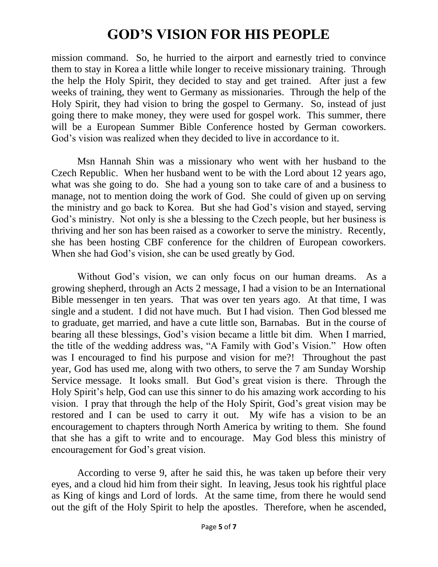mission command. So, he hurried to the airport and earnestly tried to convince them to stay in Korea a little while longer to receive missionary training. Through the help the Holy Spirit, they decided to stay and get trained. After just a few weeks of training, they went to Germany as missionaries. Through the help of the Holy Spirit, they had vision to bring the gospel to Germany. So, instead of just going there to make money, they were used for gospel work. This summer, there will be a European Summer Bible Conference hosted by German coworkers. God's vision was realized when they decided to live in accordance to it.

Msn Hannah Shin was a missionary who went with her husband to the Czech Republic. When her husband went to be with the Lord about 12 years ago, what was she going to do. She had a young son to take care of and a business to manage, not to mention doing the work of God. She could of given up on serving the ministry and go back to Korea. But she had God's vision and stayed, serving God's ministry. Not only is she a blessing to the Czech people, but her business is thriving and her son has been raised as a coworker to serve the ministry. Recently, she has been hosting CBF conference for the children of European coworkers. When she had God's vision, she can be used greatly by God.

Without God's vision, we can only focus on our human dreams. As a growing shepherd, through an Acts 2 message, I had a vision to be an International Bible messenger in ten years. That was over ten years ago. At that time, I was single and a student. I did not have much. But I had vision. Then God blessed me to graduate, get married, and have a cute little son, Barnabas. But in the course of bearing all these blessings, God's vision became a little bit dim. When I married, the title of the wedding address was, "A Family with God's Vision." How often was I encouraged to find his purpose and vision for me?! Throughout the past year, God has used me, along with two others, to serve the 7 am Sunday Worship Service message. It looks small. But God's great vision is there. Through the Holy Spirit's help, God can use this sinner to do his amazing work according to his vision. I pray that through the help of the Holy Spirit, God's great vision may be restored and I can be used to carry it out. My wife has a vision to be an encouragement to chapters through North America by writing to them. She found that she has a gift to write and to encourage. May God bless this ministry of encouragement for God's great vision.

According to verse 9, after he said this, he was taken up before their very eyes, and a cloud hid him from their sight. In leaving, Jesus took his rightful place as King of kings and Lord of lords. At the same time, from there he would send out the gift of the Holy Spirit to help the apostles. Therefore, when he ascended,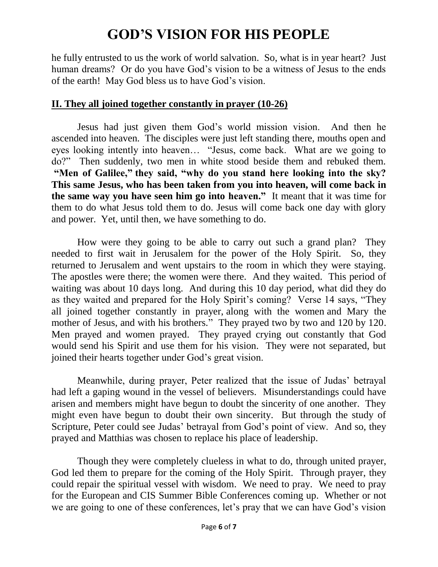he fully entrusted to us the work of world salvation. So, what is in year heart? Just human dreams? Or do you have God's vision to be a witness of Jesus to the ends of the earth! May God bless us to have God's vision.

#### **II. They all joined together constantly in prayer (10-26)**

Jesus had just given them God's world mission vision. And then he ascended into heaven. The disciples were just left standing there, mouths open and eyes looking intently into heaven… "Jesus, come back. What are we going to do?" Then suddenly, two men in white stood beside them and rebuked them. **"Men of Galilee," they said, "why do you stand here looking into the sky? This same Jesus, who has been taken from you into heaven, will come back in the same way you have seen him go into heaven."** It meant that it was time for them to do what Jesus told them to do. Jesus will come back one day with glory and power. Yet, until then, we have something to do.

How were they going to be able to carry out such a grand plan? They needed to first wait in Jerusalem for the power of the Holy Spirit. So, they returned to Jerusalem and went upstairs to the room in which they were staying. The apostles were there; the women were there. And they waited. This period of waiting was about 10 days long. And during this 10 day period, what did they do as they waited and prepared for the Holy Spirit's coming? Verse 14 says, "They all joined together constantly in prayer, along with the women and Mary the mother of Jesus, and with his brothers." They prayed two by two and 120 by 120. Men prayed and women prayed. They prayed crying out constantly that God would send his Spirit and use them for his vision. They were not separated, but joined their hearts together under God's great vision.

Meanwhile, during prayer, Peter realized that the issue of Judas' betrayal had left a gaping wound in the vessel of believers. Misunderstandings could have arisen and members might have begun to doubt the sincerity of one another. They might even have begun to doubt their own sincerity. But through the study of Scripture, Peter could see Judas' betrayal from God's point of view. And so, they prayed and Matthias was chosen to replace his place of leadership.

Though they were completely clueless in what to do, through united prayer, God led them to prepare for the coming of the Holy Spirit. Through prayer, they could repair the spiritual vessel with wisdom. We need to pray. We need to pray for the European and CIS Summer Bible Conferences coming up. Whether or not we are going to one of these conferences, let's pray that we can have God's vision